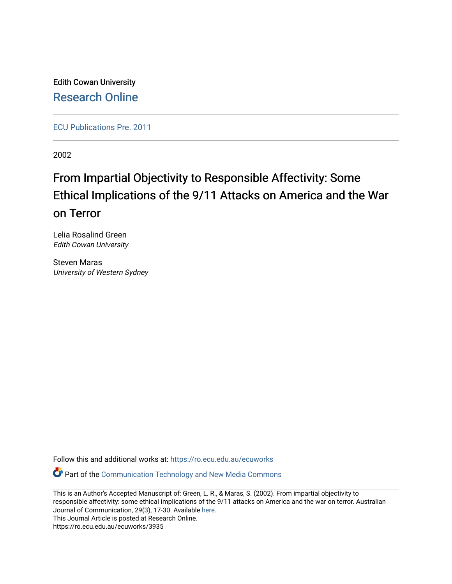Edith Cowan University [Research Online](https://ro.ecu.edu.au/) 

[ECU Publications Pre. 2011](https://ro.ecu.edu.au/ecuworks)

2002

# From Impartial Objectivity to Responsible Affectivity: Some Ethical Implications of the 9/11 Attacks on America and the War on Terror

Lelia Rosalind Green Edith Cowan University

Steven Maras University of Western Sydney

Follow this and additional works at: [https://ro.ecu.edu.au/ecuworks](https://ro.ecu.edu.au/ecuworks?utm_source=ro.ecu.edu.au%2Fecuworks%2F3935&utm_medium=PDF&utm_campaign=PDFCoverPages) 

Part of the [Communication Technology and New Media Commons](http://network.bepress.com/hgg/discipline/327?utm_source=ro.ecu.edu.au%2Fecuworks%2F3935&utm_medium=PDF&utm_campaign=PDFCoverPages) 

This is an Author's Accepted Manuscript of: Green, L. R., & Maras, S. (2002). From impartial objectivity to responsible affectivity: some ethical implications of the 9/11 attacks on America and the war on terror. Australian Journal of Communication, 29(3), 17-30. Available [here.](http://search.informit.com.au/documentSummary;dn=200302546;res=IELAPA) This Journal Article is posted at Research Online. https://ro.ecu.edu.au/ecuworks/3935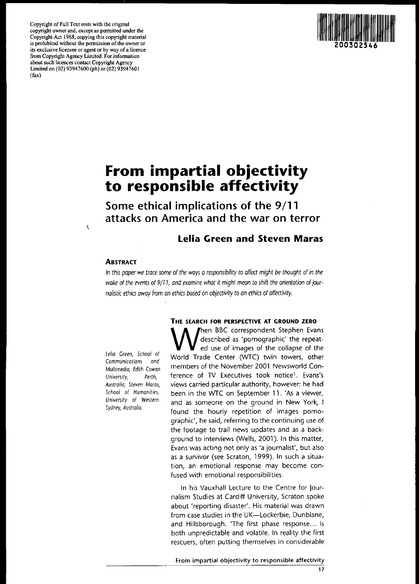**Copyright** of Full **Text rests with the original copyright owner and, except as permitted under the Copyright Act 1968, copying this copyright material is** prohibited without the permission of the owner or **its exclusive licensee or agent or by way ofa licence from Copyright Agency Limited. For infonnation about such licences contact Copyright Agency** Limited on (02) 93947600 (ph) or (02) 93947601 (fax)

 $\hat{\mathcal{A}}$ 



# **From impartial objectivity to responsible affectivity**

**Some ethical implications of the 9/11 attacks on America and the war on terror**

## **Lelia Green and Steven Maras**

### **ABSTRACT**

In this paper we trace some of the ways a responsibility to affect might be thought of in the wake of the events of 9/11, and examine what it might mean to shift the orientation of journalistic ethics away from an ethics based on objectivity to an ethics of affectivity.

Lelia Green, School of **Communications** and Multimedia, Edith Cowan *University, Perth,* **Australia; Steven Moras, School of Humanities, University of Western** Sydney, Australia.

**THE SEARCH FOR PERSPECTIVE AT GROUND ZERO** When BBC correspondent Stephen Evans<br>described as 'pornographic' the repeat-<br>Morld Trade Center (MTC) buin towers of the described as 'pornographic' the repeated use of images of the collapse of the World Trade Center (WTC) twin towers, other members of the November 2001 Newsworld Conference of TV Executives took notice'. Evans's views carried particular authority, however: he had been in the WTC on September 11. 'As a viewer, and as someone on the ground in New York, I found the hourly repetition of images pornographic', he said, referring to the continuing use of the footage to trail news updates and as a background to interviews (Wells, 2001). In this matter, Evans was acting not only as 'a journalist', but also as a survivor (see Scraton, 1999). In such a situation, an emotional response may become con· fused with emotional responsibilities.

In his Vauxhall Lecture to the Centre for Journalism Studies at Cardiff University, Scraton spoke about 'reporting disaster'. His material was drawn from case studies in the UK-Lockerbie, Dunblane, and Hillsborough. 'The first phase response... is both unpredictable and volatile. In reality the first rescuers, often putting themselves in considerable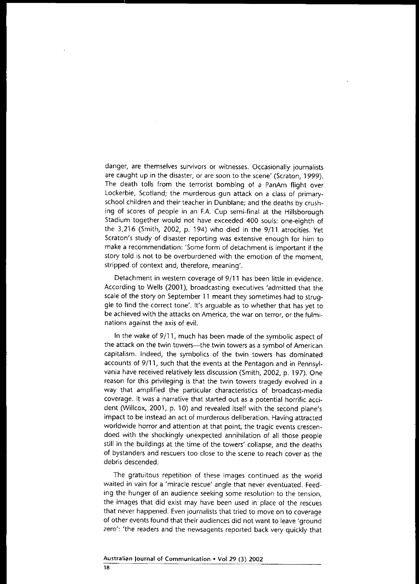danger, are themselves survivors or witnesses. Occasionally journalists are caught up in the disaster, or are soon to the scene' (Scraton, 1999). The death tolls from the terrorist bombing of a PanAm flight over Lockerbie, Scotland; the murderous gun attack on a class of primaryschool children and their teacher in Dunblane; and the deaths by crushing of scores of people in an FA Cup semi-final at the Hillsborough Stadium together would not have exceeded 400 souls: one-eighth of the 3,216 (Smith, 2002, p. 194) who died in the 9/11 atrocities. Yet Scraton's study of disaster reporting was extensive enough for him to make a recommendation: 'Some form of detachment is important if the story told is not to be overburdened with the emotion of the moment, stripped of context and, therefore, meaning'.

Detachment in western coverage of 9/11 has been little in evidence. According to Wells (2001), broadcasting executives 'admitted that the scale of the story on September 11 meant they sometimes had to struggle to find the correct tone'. It's arguable as to whether that has yet to be achieved with the attacks on America, the war on terror, or the fulminations against the axis of evil.

In the wake of 9/11, much has been made of the symbolic aspect of the attack on the twin towers-the twin towers as a symbol of American capitalism. Indeed, the symbolics of the twin towers has dominated accounts of 9/11, such that the events at the Pentagon and in Pennsylvania have received relatively less discussion (Smith, 2002, p. 197). One reason for this privileging is that the twin towers tragedy evolved in a way that amplified the particular characteristics of broadcast-media coverage. It was a narrative that started out as a potential horrific accident (Willcox, 2001, p. 10) and revealed itself with the second plane's impact to be instead an act of murderous deliberation. Having attracted worldwide horror and attention at that point, the tragic events crescendoed with the shockingly unexpected annihilation of all those people still in the buildings at the time of the towers' collapse, and the deaths of bystanders and rescuers too close to the scene to reach cover as the debris descended.

The gratuitous repetition of these images continued as the world waited in vain for a 'miracle rescue' angle that never eventuated. Feeding the hunger of an audience seeking some resolution to the tension, the images that did exist may have been used in place of the rescues that never happened. Even journalists that tried to move on to coverage of other events found that their audiences did not want to leave 'ground zero': 'the readers and the newsagents reported back very quickly that

#### **Australian Journal of Communication· Vol 29 (3) 2002**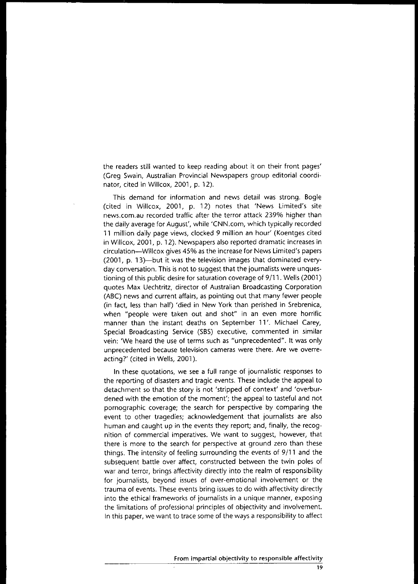the readers still wanted to keep reading about it on their front pages' (Greg Swain, Australian Provincial Newspapers group editorial coordinator, cited in Willcox, 2001, p. 12).

This demand for information and news detail was strong. Bogie (cited in Willcox, 2001, p. 12) notes that 'News Limited's site news.com.au recorded traffic after the terror attack 239% higher than the daily average for August', while 'CNN.com, which typically recorded 11 million daily page views, clocked 9 million an hour' (Koentges cited in Willcox, 2001, p. 12). Newspapers also reported dramatic increases in circulation-Willcox gives 45% as the increase for News Limited's papers (2001, p. 13)-but it was the television images that dominated everyday conversation. This is not to suggest that the journalists were unquestioning of this public desire for saturation coverage of 9/11. Wells (2001) quotes Max Uechtritz, director of Australian Broadcasting Corporation (ABC) news and current affairs, as pointing out that many fewer people (in fact, less than half) 'died in New York than perished in Srebrenica, when "people were taken out and shot" in an even more horrific manner than the instant deaths on September 11'. Michael Carey, Special Broadcasting Service (SBS) executive, commented in similar vein: 'We heard the use of terms such as "unprecedented". It was only unprecedented because television cameras were there. Are we overreacting?' (cited in Wells, 2001).

In these quotations, we see a full range of journalistic responses to the reporting of disasters and tragic events. These include the appeal to detachment so that the story is not 'stripped of context' and 'overburdened with the emotion of the moment'; the appeal to tasteful and not pornographic coverage; the search for perspective by comparing the event to other tragedies; acknowledgement that journalists are also human and caught up in the events they report; and, finally, the recognition of commercial imperatives. We want to suggest, however, that there is more to the search for perspective at ground zero than these things. The intensity of feeling surrounding the events of 9/11 and the subsequent battle over affect, constructed between the twin poles of war and terror, brings affectivity directly into the realm of responsibility for journalists, beyond issues of over-emotional involvement or the trauma of events. These events bring issues to do with affectivity directly into the ethical frameworks of journalists in a unique manner, exposing the limitations of professional principles of objectivity and involvement. In this paper, we want to trace some of the ways a responsibility to affect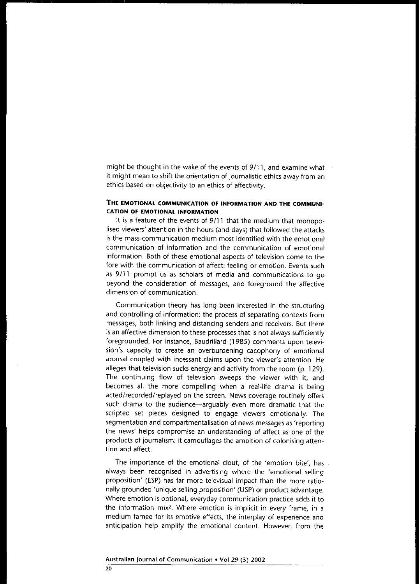might be thought in the wake of the events of 9/11, and examine what it might mean to shift the orientation of journalistic ethics away from an ethics based on objectivity to an ethics of affectivity.

### **THE EMOTIONAL COMMUNICATION OF INFORMATION AND THE COMMUNI-CATION OF EMOTIONAL INFORMATION**

It is a feature of the events of 9/11 that the medium that monopolised viewers' attention in the hours (and days) that followed the attacks is the mass-communication medium most identified with the emotional communication of information and the communication of emotional information. Both of these emotional aspects of television come to the fore with the communication of affect: feeling or emotion. Events such as 9/11 prompt us as scholars of media and communications to go beyond the consideration of messages, and foreground the affective dimension of communication.

Communication theory has long been interested in the structuring and controlling of information: the process of separating contexts from messages, both linking and distancing senders and receivers. But there is an affective dimension to these processes that is not always sufficiently foregrounded. For instance, Baudrillard (1985) comments upon television's capacity to create an overburdening cacophony of emotional arousal coupled with incessant claims upon the viewer's attention. He alleges that television sucks energy and activity from the room (p. 129). The continuing flow of television sweeps the viewer with it, and becomes all the more compelling when a real-life drama is being acted/recorded/replayed on the screen. News coverage routinely offers such drama to the audience-arguably even more dramatic that the scripted set pieces designed to engage viewers emotionally. The segmentation and compartmentalisation of news messages as 'reporting the news' helps compromise an understanding of affect as one of the products of journalism: it camouflages the ambition of colonising attention and affect.

The importance of the emotional clout, of the 'emotion bite', has always been recognised in advertising where the 'emotional selling proposition' (ESP) has far more televisual impact than the more rationally grounded 'unique selling proposition' (USP) or product advantage. Where emotion is optional, everyday communication practice adds it to the information mix2. Where emotion is implicit in every frame, in a medium famed for its emotive effects, the interplay of experience and anticipation help amplify the emotional content. However, from the

#### Australian Journal of Communication· Vol 29 (3) 2002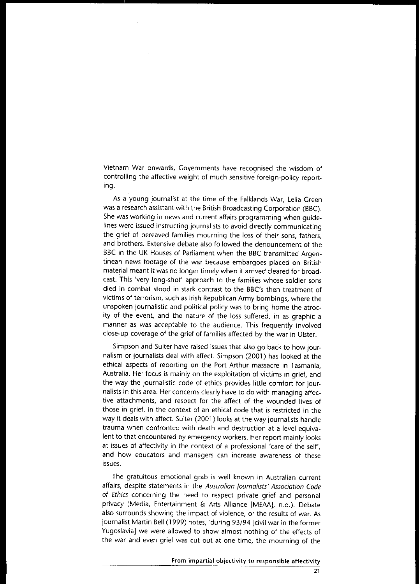Vietnam War onwards, Goyernments have recognised the wisdom of controlling the affective weight of much sensitive foreign-policy reporting.

As a young journalist at the time of the Falklands War, Lelia Green was a research assistant with the British Broadcasting Corporation (BBC). She was working in news and current affairs programming when guidelines were issued instructing journalists to avoid directly communicating the grief of bereaved families mourning the loss of their sons, fathers, and brothers.. Extensive debate also followed the denouncement of the BBC in the UK Houses of Parliament when the BBC transmitted Argentinean news footage of the war because embargoes placed on British material meant it was no longer timely when it arrived cleared for broadcast. This 'very long-shot' approach to the families whose soldier sons died in combat stood in stark contrast to the BBC's then treatment of victims of terrorism, such as Irish Republican Army bombings, where the unspoken journalistic and political policy was to bring home the atrocity of the event, and the nature of the loss suffered, in as graphic a manner as was acceptable to the audience. This frequently involved close-up coverage of the grief of families affected by the war in Ulster.

Simpson and Suiter have raised issues that also go back to how journalism or journalists deal with affect. Simpson (2001) has looked at the ethical aspects of reporting on the Port Arthur massacre in Tasmania, Australia. Her focus is mainly on the exploitation of victims in grief, and the way the journalistic code of ethics provides little comfort for journalists in this area. Her concerns clearly have to do with managing affective attachments, and respect for the affect of the wounded lives of those in grief, in the context of an ethical code that is restricted in the way it deals with affect. Suiter (2001) looks at the way journalists handle trauma when confronted with death and destruction at a level equivalent to that encountered by emergency workers. Her report mainly looks at issues of affectivity in the context of a professional 'care of the self', and how educators and managers can increase awareness of these **issues.**

The gratuitous emotional grab is well known in Australian current affairs, despite statements in the Australian Journalists' Association Code of Ethics concerning the need to respect private grief and personal privacy (Media, Entertainment & Arts Alliance [MEAA], n.d.). Debate also surrounds showing the impact of violence, or the results of war. As journalist Martin Bell (1999) notes, 'during 93/94 [civil war in the former Yugoslavia] we were allowed to show almost nothing of the effects of the war and even grief was cut out at one time, the mourning of the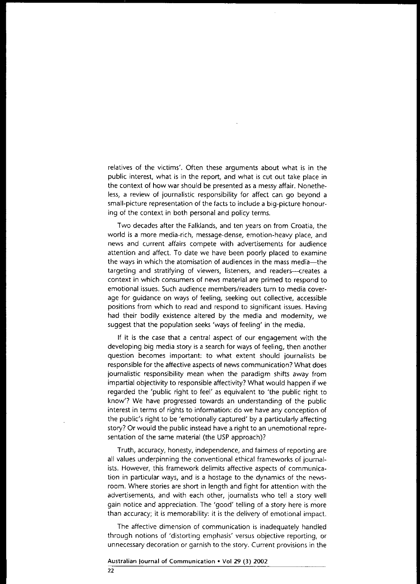relatives of the victims'. Often these arguments about what is in the public interest, what is in the report, and what is cut out take place in the context of how war should be presented as a messy affair. Nonethe· less, a review of journalistic responsibility for affect can go beyond a small-picture representation of the facts to include a big-picture honouring of the context in both personal and policy terms.

Two decades after the Falklands, and ten years on from Croatia, the world is a more media·rich, message.dense, emotion.heavy place, and news and current affairs compete with advertisements for audience attention and affect. To date we have been poorly placed to examine the ways in which the atomisation of audiences in the mass media-the targeting and stratifying of viewers, listeners, and readers-creates a context in which consumers of news material are primed to respond to emotional issues. Such audience members/readers turn to media cover· age for guidance on ways of feeling, seeking out collective, accessible positions from which to read and respond to significant issues. Having had their bodily existence altered by the media and modernity, we suggest that the population seeks 'ways of feeling' in the media.

If it is the case that a central aspect of our engagement with the developing big media story is a search for ways of feeling, then another question becomes important: to what extent should journalists be responsible for the affective aspects of news communication? What does journalistic responsibility mean when the paradigm shifts away from impartial objectivity to responsible affectivity? What would happen if we regarded the 'public right to feel' as equivalent to 'the public right to know'? We have progressed towards an understanding of the public interest in terms of rights to information: do we have any conception of the public's right to be 'emotionally captured' by a particularly affecting story? Or would the public instead have a right to an unemotional repre· sentation of the same material (the USP approach)?

Truth, accuracy, honesty, independence, and fairness of reporting are all values underpinning the conventional ethical frameworks of journal· ists. However, this framework delimits affective aspects of communica· tion in particular ways, and is a hostage to the dynamics of the news· room. Where stories are short in length and fight for attention with the advertisements, and with each other, journalists who tell a story well gain notice and appreciation. The 'good' telling of a story here is more than accuracy; it is memorability: it is the delivery of emotional impact.

The affective dimension of communication is inadequately handled through notions of 'distorting emphasis' versus objective reporting, or unnecessary decoration or garnish to the story. Current provisions in the

**Australian Journal of Communication. Vol 29 (3) 2002**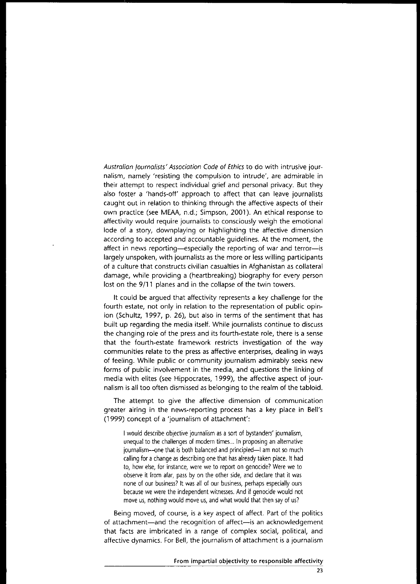Australian Journalists' Associotion Code of Ethics to do with intrusive journalism, namely 'resisting the compulsion to intrude', are admirable in their attempt to respect individual grief and personal privacy. But they also foster a 'hands-off' approach to affect that can leave journalists caught out in relation to thinking through the affective aspects of their own practice (see MEAA, n.d.; Simpson, 2001). An ethical response to affectivity would require journalists to consciously weigh the emotional lode of a story, downplaying or highlighting the affective dimension according to accepted and accountable guidelines. At the moment, the affect in news reporting-especially the reporting of war and terror-is largely unspoken, with journalists as the more or less willing participants of a culture that constructs civilian casualties in Afghanistan as collateral damage, while providing a (heartbreaking) biography for every person lost on the 9/11 planes and in the collapse of the twin towers.

It could be argued that affectivity represents a key challenge for the fourth estate, not only in relation to the representation of public opinion (Schultz, 1997, p. 26), but also in terms of the sentiment that has built up regarding the media itself. While journalists continue to discuss the changing role of the press and its fourth-estate role, there is a sense that the fourth-estate framework restricts investigation of the way communities relate to the press as affective enterprises, dealing in ways of feeling. While public or community journalism admirably seeks new forms of public involvement in the media, and questions the linking of media with elites (see Hippocrates, 1999), the affective aspect of journalism is all too often dismissed as belonging to the realm of the tabloid.

The attempt to give the affective dimension of communication greater airing in the news-reporting process has a key place in Bell's (1999) concept of a 'journalism of attachment':

I would describe objective journalism as a sort of bystanders' journalism, unequal to the challenges of modern times... In proposing an alternative journalism-one that is both balanced and principled-I am not so much calling for achange as describing one that has already taken place. It had to, how else, for instance, were we to report on genocide? Were we to observe it from afar, pass by on the other side, and declare that it was none of our business? It was all of our business, perhaps especially ours because we were the independent witnesses. And if genocide would not move us, nothing would move us, and what would that then say of us?

Being moved, of course, is a key aspect of affect. Part of the politics of attachment-and the recognition of affect-is an acknowledgement that facts are imbricated in a range of complex social, political, and affective dynamics. For Bell, the journalism of attachment is a journalism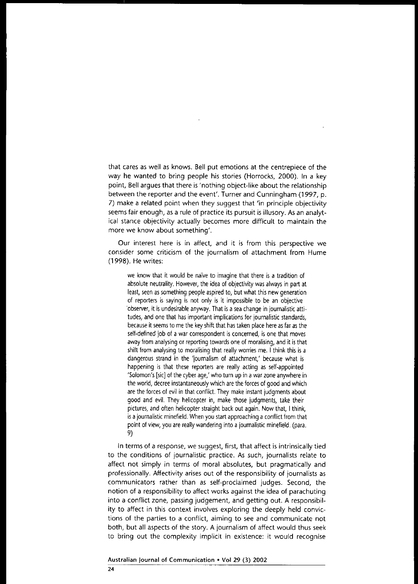that cares as well as knows. Bell put emotions at the centrepiece of the way he wanted to bring people his stories (Horrocks, 2000). In a key point, Bell argues that there is 'nothing object-like about the relationship between the reporter and the event'. Turner and Cunningham (1997, p. 7) make a related point when they suggest that 'in principle objectivity seems fair enough, as a rule of practice its pursuit is illusory. As an analytical stance objectivity actually becomes more difficult to maintain the more we know about something'.

Our interest here is in affect, and it is from this perspective we consider some criticism of the journalism of attachment from Hume (1998). He writes:

we know that it would be naïve to imagine that there is a tradition of absolute neutrality. However, the idea of objectivity was always in part at least, seen as something people aspired to, but what this new generation of reporters is saying is not only is it impossible to be an objective ·observer, it is undesirable anyway. That is asea change in journalistic attitudes, and one that has important implications for journalistic standards, because it seems to me the key shift that has taken place here as far as the self-defined job of a war correspondent is concerned, is one that moves away from analysing or reporting towards one of moralising, and it is that shift from analysing to moralising that really worries me. I think this is a dangerous strand in the 'journalism of attachment,' because what is happening is that these reporters are really acting as self-appointed 'Solomon's [sic] of the cyber age,' who turn up in a war zone anywhere in the world, decree instantaneously which are the forces of good and which are the forces of evil in that conflict. They make instant judgments about good and evil. They helicopter in, make those judgments, take their pictures, and often helicopter straight back out again. Now that, I think, is a journalistic minefield. When you start approaching a conflict from that point of view, you are really wandering into a journalistic minefield. (para. 9)

In terms of a response, we suggest, first, that affect is intrinsically tied to the conditions of journalistic practice. As such, journalists relate to affect not simply in terms of moral absolutes, but pragmatically and professionally. Affectivity arises out of the responsibility of journalists as communicators rather than as self-proclaimed judges. Second, the notion of a responsibility to affect works against the idea of parachuting into a conflict zone, passing judgement, and getting out. A responsibility to affect in this context involves exploring the deeply held convictions of the parties to a conflict, aiming to see and communicate not both, but all aspects of the story. A journalism of affect would thus seek to bring out the complexity implicit in existence: it would recognise

#### **Australian Journal of Communication. Vol 29 (3) 2002**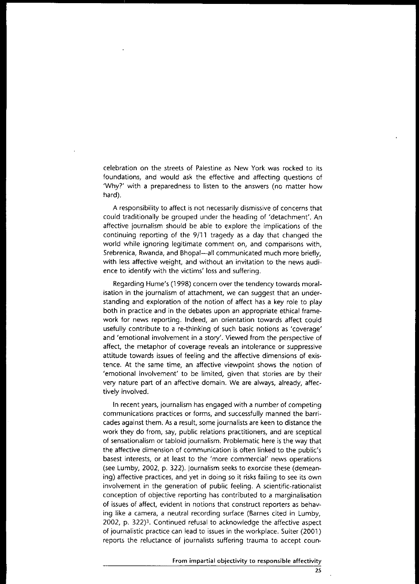celebration on the streets of Palestine as New York was rocked to its foundations, and would ask the effective and affecting questions of 'Why?' with a preparedness to listen to the answers (no matter how hard).

A responsibility to affect is not necessarily dismissive of concerns that could traditionally be grouped under the heading of 'detachment'. An affective journalism should be able to explore the implications of the continuing reporting of the 9/11 tragedy as a day that changed the world while ignoring legitimate comment on, and comparisons with, Srebrenica, Rwanda, and Bhopal-all communicated much more briefly, with less affective weight, and without an invitation to the news audience to identify with the victims' loss and suffering.

Regarding Hume's (1998) concern over the tendency towards moralisation in the journalism of attachment, we can suggest that an understanding and exploration of the notion of affect has a key role to play both in practice and in the debates upon an appropriate ethical framework for news reporting. Indeed, an orientation towards affect could usefully contribute to a re-thinking of such basic notions as 'coverage' and 'emotional involvement in a story'. Viewed from the perspective of affect, the metaphor of coverage reveals an intolerance or suppressive attitude towards issues of feeling and the affective dimensions of existence. At the same time, an affective viewpoint shows the notion of 'emotional involvement' to be limited, given that stories are by their very nature part of an affective domain. We are always, already, affectively involved.

**In** recent years, journalism has engaged with a number of competing communications practices or forms, and successfully manned the barricades against them. As a result, some journalists are keen to distance the work they do from, say, public relations practitioners, and are sceptical of sensationalism or tabloid journalism. Problematic here is the way that the affective dimension of communication is often linked to the public's basest interests, or at least to the 'more commercial' news operations (see Lumby, 2002, p. 322). Journalism seeks to exorcise these (demeaning) affective practices, and yet in doing so it risks failing to see its own involvement in the generation of public feeling. A scientific-rationalist conception of objective reporting has contributed to a marginalisation of issues of affect, evident in notions that construct reporters as behaving like a camera, a neutral recording surface (Barnes cited in Lumby, 2002, p. 322)3. Continued refusal to acknowledge the affective aspect of journalistic practice can lead to issues in the workplace. Suiter (2001) reports the reluctance of journalists suffering trauma to accept coun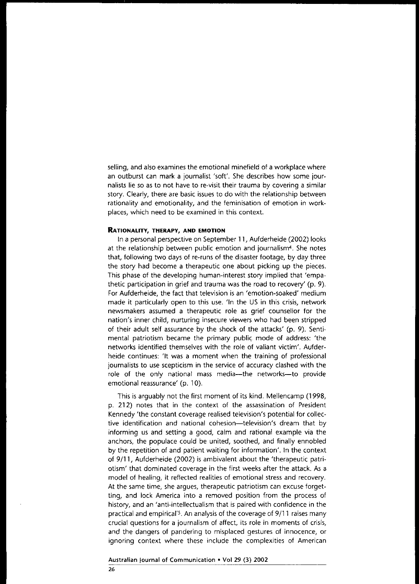selling, and also examines the emotional minefield of a workplace where an outburst can mark a journalist 'soft'. She describes how some journalists lie so as to not have to re-visit their traurna by covering a sirnilar story. Clearly, there are basic issues to do with the relationship between rationality and emotionality, and the feminisation of emotion in workplaces, which need to be examined in this context.

#### **RATIONALITY, THERAPY, ANO EMOTION**

In a personal perspective on September **11,** Aufderheide (2002) looks at the relationship between public emotion and journalism<sup>4</sup>. She notes that, following two days of re-runs of the disaster footage, by day three the story had become a therapeutic one about picking up the pieces. This phase of the developing human-interest story implied that 'empathetic participation in grief and trauma was the road to recovery' (p. 9). For Aufderheide, the fact that television is an 'emotion-soaked' medium made it particularly open to this use. 'In the US in this crisis, network newsmakers assumed a therapeutic role as grief counsellor for the nation's inner child, nurturing insecure viewers who had been stripped of their adult self assurance by the shock of the attacks' (p. 9). Sentimental patriotism became the primary public mode of address: 'the networks identified themselves with the role of valiant victim'. Aufderheide continues: 'It was a moment when the training of professional journalists to use scepticism in the service of accuracy clashed with the role of the only national mass media---the networks---to provide emotional reassurance' (p. 10).

This is arguably not the first moment of its kind. Mellencamp (1998, p. 212) notes that in the context of the assassination of President Kennedy 'the constant coverage realised television's potential for collective identification and national cohesion-television's dream that by informing us and setting a good, calm and rational example via the anchors, the populace could be united, soothed, and finally ennobled by the repetition of and patient waiting for information'. In the context of 9/11, Aufderheide (2002) is ambivalent about the 'therapeutic patriotism' that dominated coverage in the first weeks after the attack. As a model of healing, it reflected realities of emotional stress and recovery. At the same time, she argues, therapeutic patriotism can excuse forgetting, and lock America into a removed position from the process of history, and an 'anti-intellectualism that is paired with confidence in the practical and empirical<sup>'s</sup>. An analysis of the coverage of 9/11 raises many crucial questions for a journalism of affect, its role in moments of crisis, and the dangers of pandering to misplaced gestures of innocence, or ignoring context where these include the complexities of American

#### **Australian Journal of Communication. Vol 29 (3) 2002**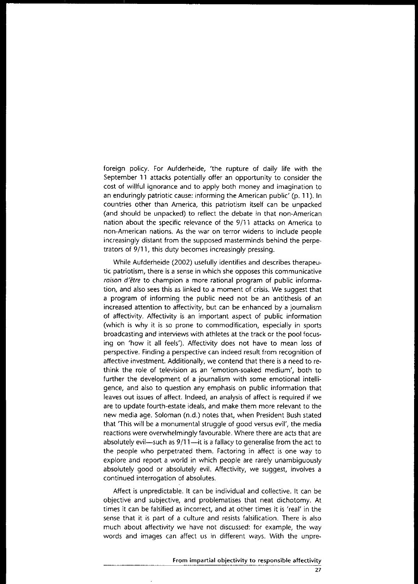foreign policy. For Aufderheide, 'the rupture of daily life with the September **11** attacks potentially offer an opportunity to consider the cost of willful ignorance and to apply both money and imagination to an enduringly patriotic cause: informing the American public' (p. **11).** In countries other than America, this patriotism itself can be unpacked (and should be unpacked) to reflect the debate in that non-American nation about the specific relevance of the 9/11 attacks on America to non-American nations. As the war on terror widens to include people increasingly distant from the supposed masterminds behind the perpetrators of 9/11, this duty becomes increasingly pressing.

While Aufderheide (2002) usefully identifies and describes therapeutic patriotism, there is a sense in which she opposes this communicative raison d'etre to champion a more rational program of public information, and also sees this as linked to a moment of crisis. We suggest that a program of informing the public need not be an antithesis of an increased attention to affectivity, but can be enhanced by a journalism of affectivity. Affectivity is an important aspect of public information (which is why it is so prone to commodification, especially in sports broadcasting and interviews with athletes at the track or the pool focusing on 'how it all feels'). Affectivity does not have to mean loss of perspective. Finding a perspective can indeed result from recognition of affective investment. Additionally, we contend that there is a need to rethink the role of television as an 'emotion-soaked medium', both to further the development of a journalism with some emotional intelligence, and also to question any emphasis on public information that leaves out issues of affect. Indeed, an analysis of affect is required if we are to update fourth-estate ideals, and make them more relevant to the new media age. Soloman (n.d.) notes that, when President Bush stated that 'This will be a monumental struggle of good versus evil', the media reactions were overwhelmingly favourable. Where there are acts that are absolutely evil—such as  $9/11$ —it is a fallacy to generalise from the act to the people who perpetrated them. Factoring in affect is one way to explore and report a world in which people are rarely unambiguously absolutely good or absolutely evil. Affectivity, we suggest, involves a continued interrogation of absolutes.

Affect is unpredictable. It can be individual and collective. It can be objective and subjective, and problematises that neat dichotomy. At times it can be falsified as incorrect, and at other times it is 'real' in the sense that it is part of a culture and resists falsification. There is also much about affectivity we have not discussed: for example, the way words and images can affect us in different ways. With the unpre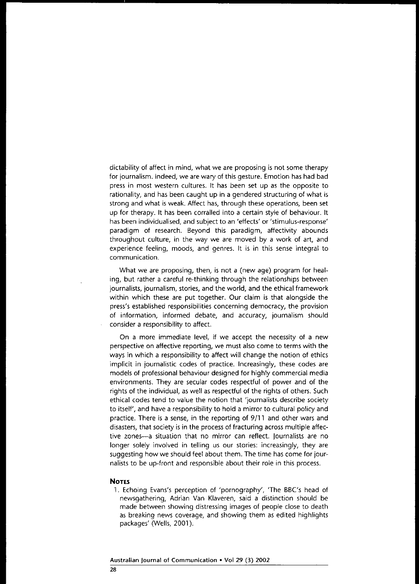dictability of affect in mind, what we are proposing is not some therapy for journalism. Indeed, we are wary of this gesture. Emotion has had bad press in most western cultures. It has been set up as the opposite to rationality, and has been caught up in a gendered structuring of what is strong and what is weak. Affect has, through these operations, been set up for therapy. It has been corralled into a certain style of behaviour. It has been individualised, and subject to an 'effects' or 'stimulus-response' paradigm of research. Beyond this paradigm, affectivity abounds throughout culture, in the way we are moved by a work of art, and experience feeling, moods, and genres. It is in this sense integral to **communication.**

What we are proposing, then, is not a (new age) program for healing, but rather a careful re-thinking through the relationships between journalists, journalism, stories, and the world, and the ethical framework within which these are put together. Our claim is that alongside the press's established responsibilities concerning democracy, the provision of information, informed debate, and accuracy, journalism should consider a responsibility to affect.

On a more immediate level, if we accept the necessity of a new perspective on affective reporting, we must also come to terms with the ways in which a responsibility to affect will change the notion of ethics implicit in journalistic codes of practice. Increasingly, these codes are models of professional behaviour designed for highly commercial media environments. They are secular codes respectful of power and of the rights of the individual, as well as respectful of the rights of others. Such ethical codes tend to value the notion that 'journalists describe society to itself', and have a responsibility to hold a mirror to cultural policy and practice. There is a sense, in the reporting of 9/11 and other wars and disasters, that society is in the process of fracturing aCross multiple affective zones---a situation that no mirror can reflect. Journalists are no longer solely involved in telling us our stories: increasingly, they are suggesting how we should feel about them. The time has come for journalists to be up-front and responsible about their role in this process.

#### **NOTES**

1. Echoing Evans's perception of 'pornography', 'The BBC's head of newsgathering, Adrian Van Klaveren, said a distinction should be made between showing distressing images of people close to death as breaking news coverage, and showing them as edited highlights packages' (Wells, 2001).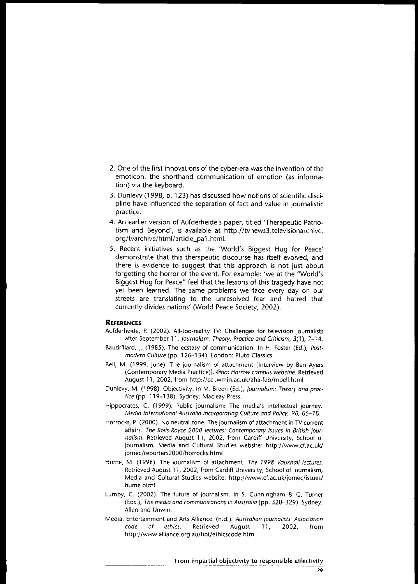- 2. One of the first innovations of the cyber-era was the invention of the emoticon: the shorthand communication of emotion (as information) via the keyboard.
- 3. Dunlevy (1998, p. 123) has discussed how notions of scientific discipline have influenced the separation of fact and value in journalistic practice.
- 4. An earlier version of Aufderheide's paper, titled 'Therapeutic Patriotism and Beyond', is available at http://tvnews3.televisionarchive. org/tvarchive/html/article\_pa1.html.
- 5. Recent initiatives such as the 'World's Biggest Hug for Peace' demonstrate that this therapeutic discourse has itself evolved, and there is evidence to suggest that this approach is not just about forgetting the horror of the event. For example: 'we at the "World's Biggest Hug for Peace" feel that the lessons of this tragedy have not yet been learned. The same problems we face every day on our streets are translating to the unresolved fear and hatred that currently divides nations' (World Peace Society, 2002).

#### **REFERENCES**

- Aufderheide, P. (2002). AII-too-reality TV: Challenges for television journalists after September 11. Journalism: Theory, Practice and Criticism, 3(1), 7-14.
- Baudrillard, J. (1985). The ecstasy of communication. In H. Foster (Ed.), Postmadern Culture (pp. 126-134). London: Pluto Classics.
- Bell, M. (1999, June). The journalism of attachment [Interview by Ben Ayers **(Contemporary Media Practice)}. @ha: Harrow campus webzine. Retrieved** August 11, 2002, from http://cci.wmin.ac.uk/aha-feb/mbell.html
- Dunlevy, M. (1998). Objectivity. In M. Breen (Ed.), Journalism: Theory and practice (pp. 119-13B). Sydney: Macleay Press.
- Hippocrates, C. (1999). Public journalism: The media's intellectual journey. *Media International Australia incorporating Culture and Policy, 90, 65-78.*
- Horrocks, P. (2000). No neutral zone: The journalism of attachment in TV current **affairs.** *The RolIs·Royce 2000 lectures: Contemporary issues in British journalism.* **Retrieved August 11, 2002, from Cardiff University, School of** Journalism, Media and Cultural Studies website: http://www.cf.ac.ukl jomec/reporters2000/horrocks.html
- Hume, M. (1998). The journalism of attachment. The 7998 Vauxhall lectures. Retrieved August 11, 2002, from Cardiff University, School of Journalism, Media and Cultural Studies website: http://www.cf.ac.uk/jomec/issues/ hume.html
- Lumby, C. (2002). The future of journalism. In S. Cunningham & G. Turner (Eds.), The media and communications in Australia (pp. 320-329). Sydney: **Alien and Unwin.**
- **Media, Entertainment and Arts Alliance. (n.d.).** *Australian Journalists' Association* code of ethics. Retrieved August 11, 2002, from http://www.alliance.org.au/hot/ethicscode.htm